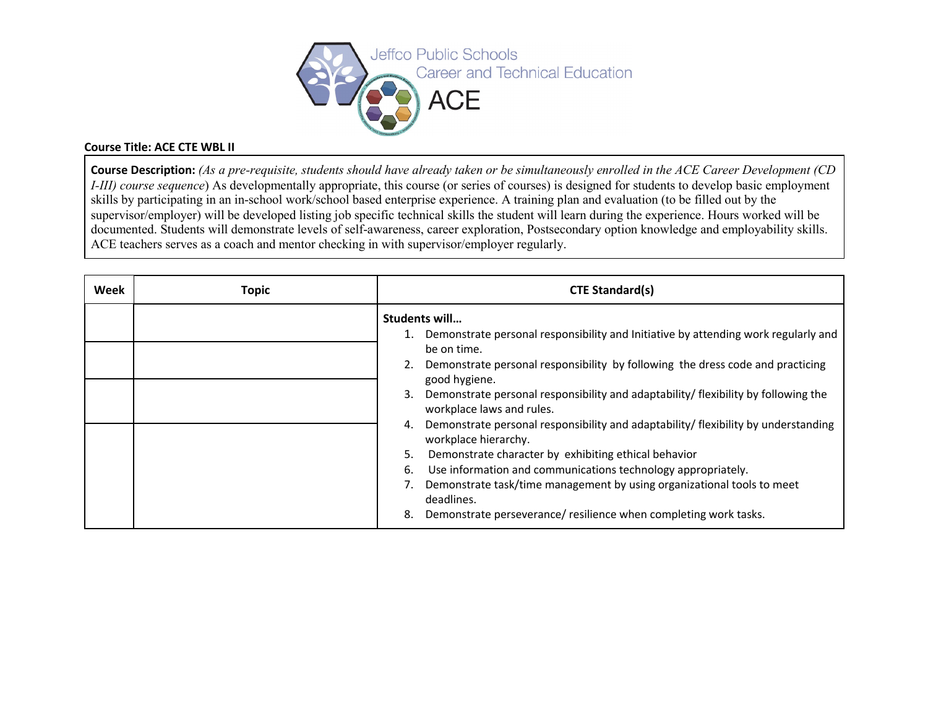

## **Course Title: ACE CTE WBL II**

**Course Description:** *(As a pre-requisite, students should have already taken or be simultaneously enrolled in the ACE Career Development (CD I-III) course sequence*) As developmentally appropriate, this course (or series of courses) is designed for students to develop basic employment skills by participating in an in-school work/school based enterprise experience. A training plan and evaluation (to be filled out by the supervisor/employer) will be developed listing job specific technical skills the student will learn during the experience. Hours worked will be documented. Students will demonstrate levels of self-awareness, career exploration, Postsecondary option knowledge and employability skills. ACE teachers serves as a coach and mentor checking in with supervisor/employer regularly.

| Week | <b>Topic</b> | <b>CTE Standard(s)</b>                                                                                           |  |
|------|--------------|------------------------------------------------------------------------------------------------------------------|--|
|      |              | Students will<br>1. Demonstrate personal responsibility and Initiative by attending work regularly and           |  |
|      |              | be on time.                                                                                                      |  |
|      |              | Demonstrate personal responsibility by following the dress code and practicing<br>good hygiene.                  |  |
|      |              | Demonstrate personal responsibility and adaptability/ flexibility by following the<br>workplace laws and rules.  |  |
|      |              | Demonstrate personal responsibility and adaptability/ flexibility by understanding<br>4.<br>workplace hierarchy. |  |
|      |              | Demonstrate character by exhibiting ethical behavior<br>5.                                                       |  |
|      |              | Use information and communications technology appropriately.<br>6.                                               |  |
|      |              | Demonstrate task/time management by using organizational tools to meet<br>deadlines.                             |  |
|      |              | Demonstrate perseverance/ resilience when completing work tasks.<br>8.                                           |  |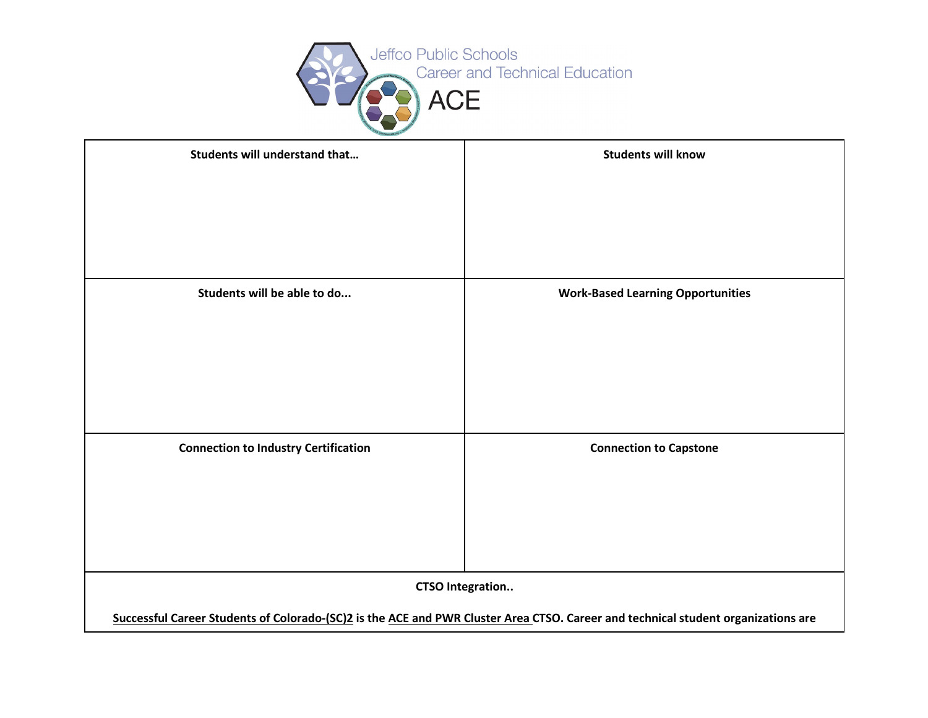

| <b>Students will understand that</b>                                                                                                                         | <b>Students will know</b>                |  |  |
|--------------------------------------------------------------------------------------------------------------------------------------------------------------|------------------------------------------|--|--|
|                                                                                                                                                              |                                          |  |  |
| Students will be able to do                                                                                                                                  | <b>Work-Based Learning Opportunities</b> |  |  |
| <b>Connection to Industry Certification</b>                                                                                                                  | <b>Connection to Capstone</b>            |  |  |
| <b>CTSO Integration</b><br>Successful Career Students of Colorado-(SC)2 is the ACE and PWR Cluster Area CTSO. Career and technical student organizations are |                                          |  |  |
|                                                                                                                                                              |                                          |  |  |